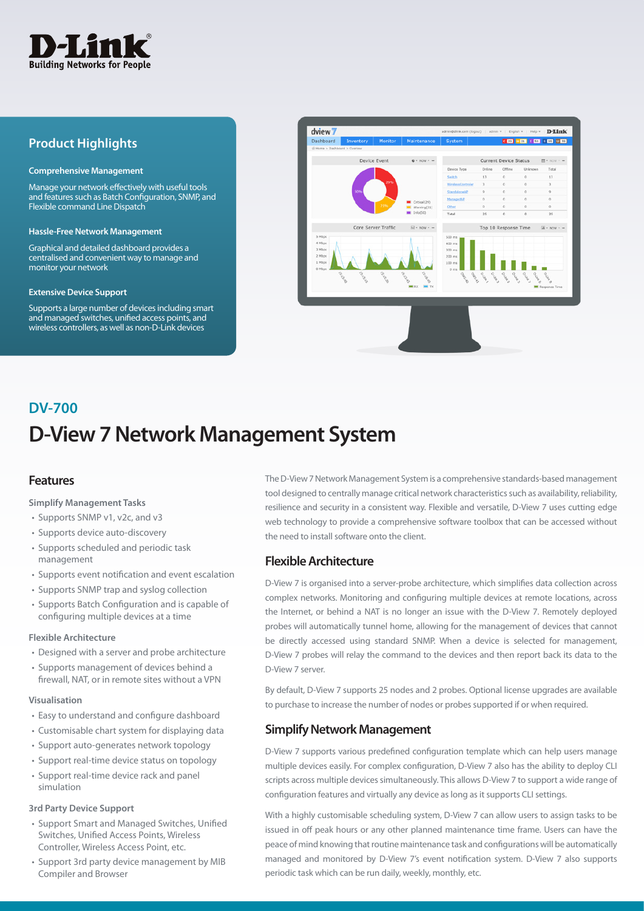

## **Product Highlights**

#### **Comprehensive Management**

Manage your network effectively with useful tools and features such as Batch Configuration, SNMP, and Flexible command Line Dispatch

#### **Hassle-Free Network Management**

Graphical and detailed dashboard provides a centralised and convenient way to manage and monitor your network

#### **Extensive Device Support**

Supports a large number of devices including smart and managed switches, unified access points, and wireless controllers, as well as non-D-Link devices



# **D-View 7 Network Management System DV-700**

## **Features**

#### **Simplify Management Tasks**

- Supports SNMP v1, v2c, and v3
- Supports device auto-discovery
- Supports scheduled and periodic task management
- Supports event notification and event escalation
- Supports SNMP trap and syslog collection
- Supports Batch Configuration and is capable of configuring multiple devices at a time

#### **Flexible Architecture**

- Designed with a server and probe architecture
- Supports management of devices behind a firewall, NAT, or in remote sites without a VPN

#### **Visualisation**

- Easy to understand and configure dashboard
- Customisable chart system for displaying data
- Support auto-generates network topology
- Support real-time device status on topology
- Support real-time device rack and panel simulation

#### **3rd Party Device Support**

- Support Smart and Managed Switches, Unified Switches, Unified Access Points, Wireless Controller, Wireless Access Point, etc.
- Support 3rd party device management by MIB Compiler and Browser

The D-View 7 Network Management System is a comprehensive standards-based management tool designed to centrally manage critical network characteristics such as availability, reliability, resilience and security in a consistent way. Flexible and versatile, D-View 7 uses cutting edge web technology to provide a comprehensive software toolbox that can be accessed without the need to install software onto the client.

## **Flexible Architecture**

D-View 7 is organised into a server-probe architecture, which simplifies data collection across complex networks. Monitoring and configuring multiple devices at remote locations, across the Internet, or behind a NAT is no longer an issue with the D-View 7. Remotely deployed probes will automatically tunnel home, allowing for the management of devices that cannot be directly accessed using standard SNMP. When a device is selected for management, D-View 7 probes will relay the command to the devices and then report back its data to the D-View 7 server.

By default, D-View 7 supports 25 nodes and 2 probes. Optional license upgrades are available to purchase to increase the number of nodes or probes supported if or when required.

## **Simplify Network Management**

D-View 7 supports various predefined configuration template which can help users manage multiple devices easily. For complex configuration, D-View 7 also has the ability to deploy CLI scripts across multiple devices simultaneously. This allows D-View 7 to support a wide range of configuration features and virtually any device as long as it supports CLI settings.

With a highly customisable scheduling system, D-View 7 can allow users to assign tasks to be issued in off peak hours or any other planned maintenance time frame. Users can have the peace of mind knowing that routine maintenance task and configurations will be automatically managed and monitored by D-View 7's event notification system. D-View 7 also supports periodic task which can be run daily, weekly, monthly, etc.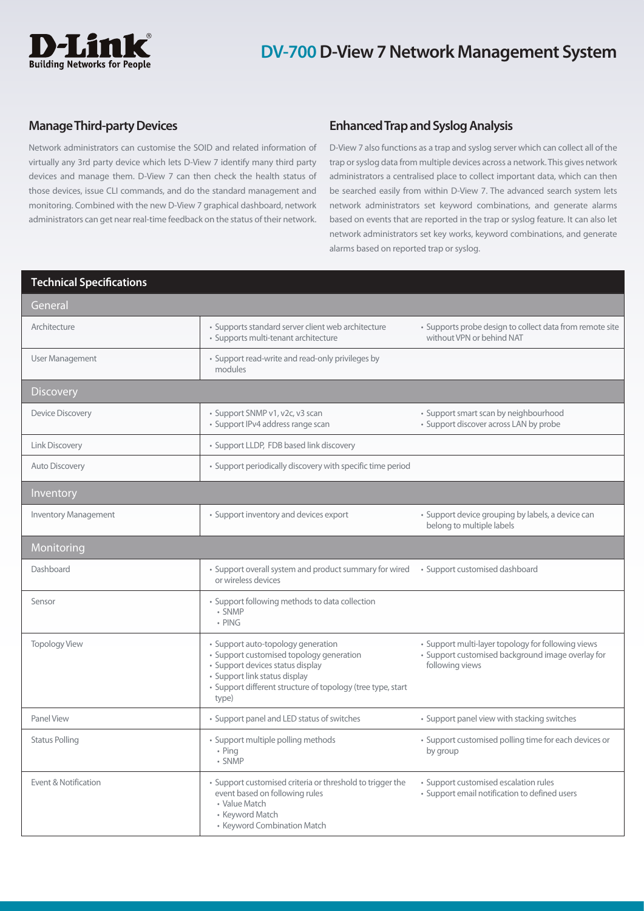

## **Manage Third-party Devices**

Network administrators can customise the SOID and related information of virtually any 3rd party device which lets D-View 7 identify many third party devices and manage them. D-View 7 can then check the health status of those devices, issue CLI commands, and do the standard management and monitoring. Combined with the new D-View 7 graphical dashboard, network administrators can get near real-time feedback on the status of their network.

## **Enhanced Trap and Syslog Analysis**

D-View 7 also functions as a trap and syslog server which can collect all of the trap or syslog data from multiple devices across a network. This gives network administrators a centralised place to collect important data, which can then be searched easily from within D-View 7. The advanced search system lets network administrators set keyword combinations, and generate alarms based on events that are reported in the trap or syslog feature. It can also let network administrators set key works, keyword combinations, and generate alarms based on reported trap or syslog.

| <b>Technical Specifications</b> |                                                                                                                                                                                                                             |                                                                                                                            |
|---------------------------------|-----------------------------------------------------------------------------------------------------------------------------------------------------------------------------------------------------------------------------|----------------------------------------------------------------------------------------------------------------------------|
| General                         |                                                                                                                                                                                                                             |                                                                                                                            |
| Architecture                    | · Supports standard server client web architecture<br>· Supports multi-tenant architecture                                                                                                                                  | · Supports probe design to collect data from remote site<br>without VPN or behind NAT                                      |
| User Management                 | • Support read-write and read-only privileges by<br>modules                                                                                                                                                                 |                                                                                                                            |
| <b>Discovery</b>                |                                                                                                                                                                                                                             |                                                                                                                            |
| <b>Device Discovery</b>         | · Support SNMP v1, v2c, v3 scan<br>· Support IPv4 address range scan                                                                                                                                                        | • Support smart scan by neighbourhood<br>• Support discover across LAN by probe                                            |
| Link Discovery                  | • Support LLDP, FDB based link discovery                                                                                                                                                                                    |                                                                                                                            |
| <b>Auto Discovery</b>           | • Support periodically discovery with specific time period                                                                                                                                                                  |                                                                                                                            |
| Inventory                       |                                                                                                                                                                                                                             |                                                                                                                            |
| <b>Inventory Management</b>     | • Support inventory and devices export                                                                                                                                                                                      | · Support device grouping by labels, a device can<br>belong to multiple labels                                             |
| Monitoring                      |                                                                                                                                                                                                                             |                                                                                                                            |
| Dashboard                       | • Support overall system and product summary for wired • Support customised dashboard<br>or wireless devices                                                                                                                |                                                                                                                            |
| Sensor                          | • Support following methods to data collection<br>• SNMP<br>• PING                                                                                                                                                          |                                                                                                                            |
| <b>Topology View</b>            | · Support auto-topology generation<br>· Support customised topology generation<br>· Support devices status display<br>• Support link status display<br>• Support different structure of topology (tree type, start<br>type) | • Support multi-layer topology for following views<br>· Support customised background image overlay for<br>following views |
| Panel View                      | • Support panel and LED status of switches                                                                                                                                                                                  | • Support panel view with stacking switches                                                                                |
| <b>Status Polling</b>           | · Support multiple polling methods<br>• Ping<br>• SNMP                                                                                                                                                                      | • Support customised polling time for each devices or<br>by group                                                          |
| Event & Notification            | • Support customised criteria or threshold to trigger the<br>event based on following rules<br>• Value Match<br>• Keyword Match<br>• Keyword Combination Match                                                              | · Support customised escalation rules<br>· Support email notification to defined users                                     |